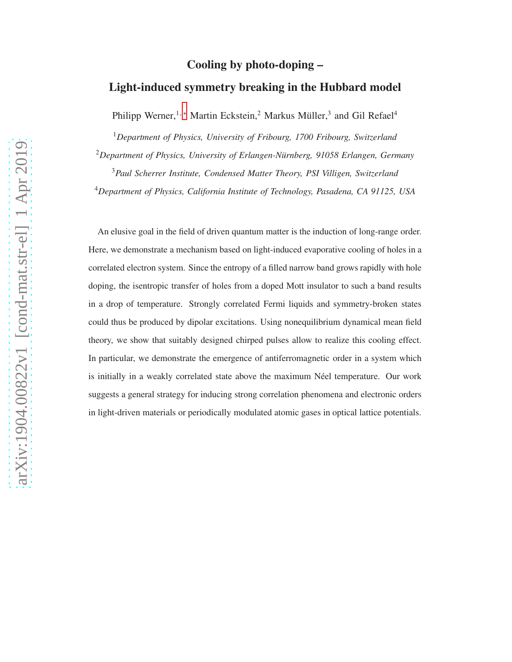## Cooling by photo-doping –

## Light-induced symmetry breaking in the Hubbard model

Philipp Werner,<sup>1,\*</sup> Martin Eckstein,<sup>2</sup> Markus Müller,<sup>3</sup> and Gil Refael<sup>4</sup>

<sup>1</sup>*Department of Physics, University of Fribourg, 1700 Fribourg, Switzerland*

<sup>2</sup>Department of Physics, University of Erlangen-Nürnberg, 91058 Erlangen, Germany

<sup>3</sup>*Paul Scherrer Institute, Condensed Matter Theory, PSI Villigen, Switzerland*

<sup>4</sup>*Department of Physics, California Institute of Technology, Pasadena, CA 91125, USA*

An elusive goal in the field of driven quantum matter is the induction of long-range order. Here, we demonstrate a mechanism based on light-induced evaporative cooling of holes in a correlated electron system. Since the entropy of a filled narrow band grows rapidly with hole doping, the isentropic transfer of holes from a doped Mott insulator to such a band results in a drop of temperature. Strongly correlated Fermi liquids and symmetry-broken states could thus be produced by dipolar excitations. Using nonequilibrium dynamical mean field theory, we show that suitably designed chirped pulses allow to realize this cooling effect. In particular, we demonstrate the emergence of antiferromagnetic order in a system which is initially in a weakly correlated state above the maximum Néel temperature. Our work suggests a general strategy for inducing strong correlation phenomena and electronic orders in light-driven materials or periodically modulated atomic gases in optical lattice potentials.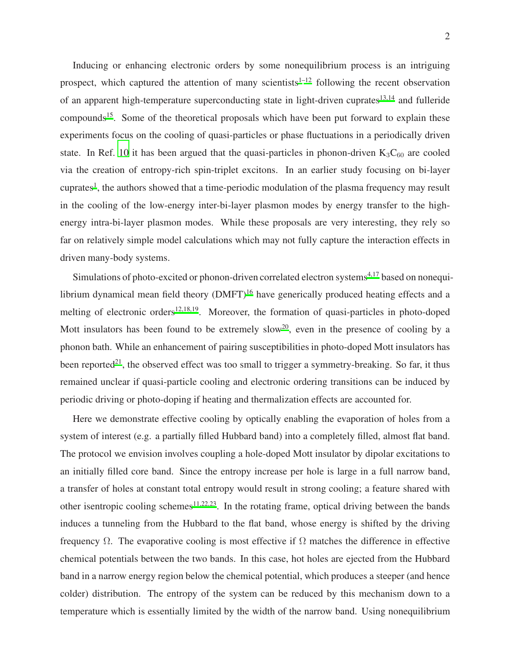Inducing or enhancing electronic orders by some nonequilibrium process is an intriguing prospect, which captured the attention of many scientists<sup> $1-12$  $1-12$ </sup> following the recent observation of an apparent high-temperature superconducting state in light-driven cuprates $13,14$  $13,14$  and fulleride compounds<sup>[15](#page-13-3)</sup>. Some of the theoretical proposals which have been put forward to explain these experiments focus on the cooling of quasi-particles or phase fluctuations in a periodically driven state. In Ref. [10](#page-12-2) it has been argued that the quasi-particles in phonon-driven  $K_3C_{60}$  are cooled via the creation of entropy-rich spin-triplet excitons. In an earlier study focusing on bi-layer cuprates<sup>[1](#page-12-1)</sup>, the authors showed that a time-periodic modulation of the plasma frequency may result in the cooling of the low-energy inter-bi-layer plasmon modes by energy transfer to the highenergy intra-bi-layer plasmon modes. While these proposals are very interesting, they rely so far on relatively simple model calculations which may not fully capture the interaction effects in driven many-body systems.

Simulations of photo-excited or phonon-driven correlated electron systems<sup> $4,17$  $4,17$ </sup> based on nonequilibrium dynamical mean field theory  $(DMFT)^{16}$  $(DMFT)^{16}$  $(DMFT)^{16}$  have generically produced heating effects and a melting of electronic orders $12,18,19$  $12,18,19$  $12,18,19$ . Moreover, the formation of quasi-particles in photo-doped Mott insulators has been found to be extremely slow<sup>[20](#page-13-8)</sup>, even in the presence of cooling by a phonon bath. While an enhancement of pairing susceptibilities in photo-doped Mott insulators has been reported<sup>[21](#page-13-9)</sup>, the observed effect was too small to trigger a symmetry-breaking. So far, it thus remained unclear if quasi-particle cooling and electronic ordering transitions can be induced by periodic driving or photo-doping if heating and thermalization effects are accounted for.

Here we demonstrate effective cooling by optically enabling the evaporation of holes from a system of interest (e.g. a partially filled Hubbard band) into a completely filled, almost flat band. The protocol we envision involves coupling a hole-doped Mott insulator by dipolar excitations to an initially filled core band. Since the entropy increase per hole is large in a full narrow band, a transfer of holes at constant total entropy would result in strong cooling; a feature shared with other isentropic cooling schemes<sup>[11](#page-13-10)[,22](#page-13-11)[,23](#page-13-12)</sup>. In the rotating frame, optical driving between the bands induces a tunneling from the Hubbard to the flat band, whose energy is shifted by the driving frequency Ω. The evaporative cooling is most effective if Ω matches the difference in effective chemical potentials between the two bands. In this case, hot holes are ejected from the Hubbard band in a narrow energy region below the chemical potential, which produces a steeper (and hence colder) distribution. The entropy of the system can be reduced by this mechanism down to a temperature which is essentially limited by the width of the narrow band. Using nonequilibrium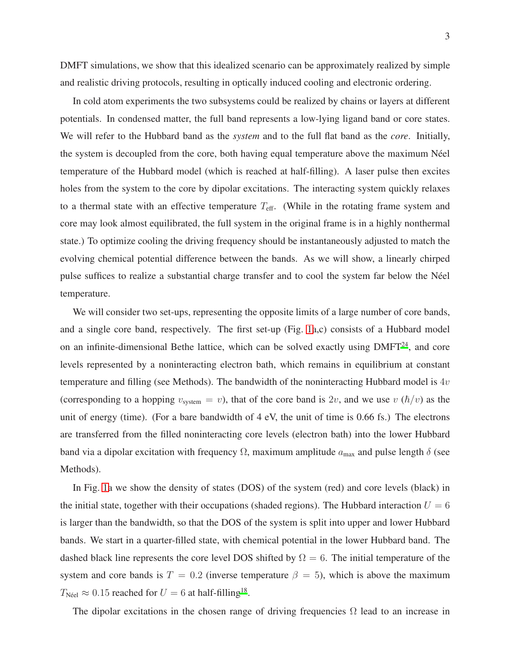DMFT simulations, we show that this idealized scenario can be approximately realized by simple and realistic driving protocols, resulting in optically induced cooling and electronic ordering.

In cold atom experiments the two subsystems could be realized by chains or layers at different potentials. In condensed matter, the full band represents a low-lying ligand band or core states. We will refer to the Hubbard band as the *system* and to the full flat band as the *core*. Initially, the system is decoupled from the core, both having equal temperature above the maximum Néel temperature of the Hubbard model (which is reached at half-filling). A laser pulse then excites holes from the system to the core by dipolar excitations. The interacting system quickly relaxes to a thermal state with an effective temperature  $T_{\text{eff}}$ . (While in the rotating frame system and core may look almost equilibrated, the full system in the original frame is in a highly nonthermal state.) To optimize cooling the driving frequency should be instantaneously adjusted to match the evolving chemical potential difference between the bands. As we will show, a linearly chirped pulse suffices to realize a substantial charge transfer and to cool the system far below the N´eel temperature.

We will consider two set-ups, representing the opposite limits of a large number of core bands, and a single core band, respectively. The first set-up (Fig. [1a](#page-3-0),c) consists of a Hubbard model on an infinite-dimensional Bethe lattice, which can be solved exactly using DMFT<sup>[24](#page-13-13)</sup>, and core levels represented by a noninteracting electron bath, which remains in equilibrium at constant temperature and filling (see Methods). The bandwidth of the noninteracting Hubbard model is  $4v$ (corresponding to a hopping  $v_{\text{system}} = v$ ), that of the core band is 2v, and we use v  $(\hbar/v)$  as the unit of energy (time). (For a bare bandwidth of  $4 \text{ eV}$ , the unit of time is 0.66 fs.) The electrons are transferred from the filled noninteracting core levels (electron bath) into the lower Hubbard band via a dipolar excitation with frequency  $\Omega$ , maximum amplitude  $a_{\text{max}}$  and pulse length  $\delta$  (see Methods).

In Fig. [1a](#page-3-0) we show the density of states (DOS) of the system (red) and core levels (black) in the initial state, together with their occupations (shaded regions). The Hubbard interaction  $U = 6$ is larger than the bandwidth, so that the DOS of the system is split into upper and lower Hubbard bands. We start in a quarter-filled state, with chemical potential in the lower Hubbard band. The dashed black line represents the core level DOS shifted by  $\Omega = 6$ . The initial temperature of the system and core bands is  $T = 0.2$  (inverse temperature  $\beta = 5$ ), which is above the maximum  $T_{\text{N\'eel}} \approx 0.15$  reached for  $U = 6$  at half-filling<sup>[18](#page-13-6)</sup>.

The dipolar excitations in the chosen range of driving frequencies  $\Omega$  lead to an increase in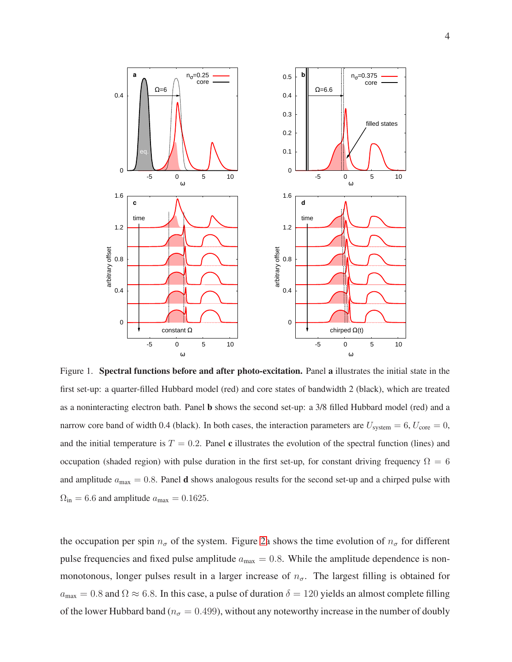

<span id="page-3-0"></span>Figure 1. Spectral functions before and after photo-excitation. Panel a illustrates the initial state in the first set-up: a quarter-filled Hubbard model (red) and core states of bandwidth 2 (black), which are treated as a noninteracting electron bath. Panel b shows the second set-up: a 3/8 filled Hubbard model (red) and a narrow core band of width 0.4 (black). In both cases, the interaction parameters are  $U_{\text{system}} = 6, U_{\text{core}} = 0$ , and the initial temperature is  $T = 0.2$ . Panel c illustrates the evolution of the spectral function (lines) and occupation (shaded region) with pulse duration in the first set-up, for constant driving frequency  $\Omega = 6$ and amplitude  $a_{\text{max}} = 0.8$ . Panel **d** shows analogous results for the second set-up and a chirped pulse with  $\Omega_{\rm in} = 6.6$  and amplitude  $a_{\rm max} = 0.1625$ .

the occupation per spin  $n_{\sigma}$  of the system. Figure [2a](#page-4-0) shows the time evolution of  $n_{\sigma}$  for different pulse frequencies and fixed pulse amplitude  $a_{\text{max}} = 0.8$ . While the amplitude dependence is nonmonotonous, longer pulses result in a larger increase of  $n_{\sigma}$ . The largest filling is obtained for  $a_{\text{max}} = 0.8$  and  $\Omega \approx 6.8$ . In this case, a pulse of duration  $\delta = 120$  yields an almost complete filling of the lower Hubbard band ( $n_{\sigma} = 0.499$ ), without any noteworthy increase in the number of doubly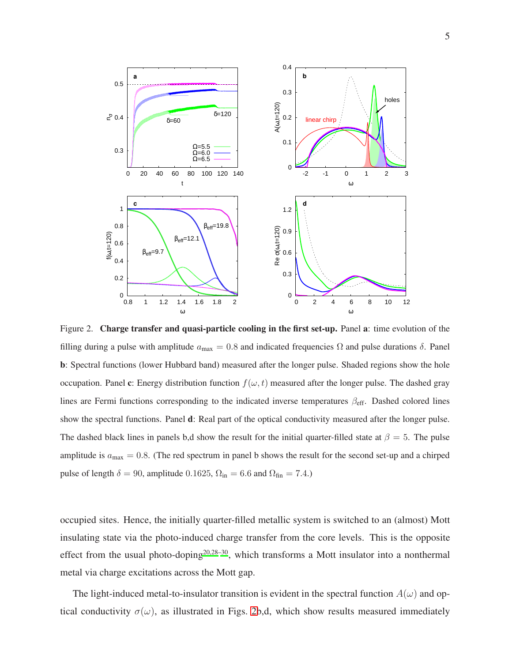

<span id="page-4-0"></span>Figure 2. Charge transfer and quasi-particle cooling in the first set-up. Panel a: time evolution of the filling during a pulse with amplitude  $a_{\text{max}} = 0.8$  and indicated frequencies  $\Omega$  and pulse durations  $\delta$ . Panel b: Spectral functions (lower Hubbard band) measured after the longer pulse. Shaded regions show the hole occupation. Panel c: Energy distribution function  $f(\omega, t)$  measured after the longer pulse. The dashed gray lines are Fermi functions corresponding to the indicated inverse temperatures  $\beta_{\text{eff}}$ . Dashed colored lines show the spectral functions. Panel d: Real part of the optical conductivity measured after the longer pulse. The dashed black lines in panels b,d show the result for the initial quarter-filled state at  $\beta = 5$ . The pulse amplitude is  $a_{\text{max}} = 0.8$ . (The red spectrum in panel b shows the result for the second set-up and a chirped pulse of length  $\delta = 90$ , amplitude 0.1625,  $\Omega_{\rm in} = 6.6$  and  $\Omega_{\rm fin} = 7.4$ .)

occupied sites. Hence, the initially quarter-filled metallic system is switched to an (almost) Mott insulating state via the photo-induced charge transfer from the core levels. This is the opposite effect from the usual photo-doping<sup>[20](#page-13-8)[,28](#page-14-0)[–30](#page-14-1)</sup>, which transforms a Mott insulator into a nonthermal metal via charge excitations across the Mott gap.

The light-induced metal-to-insulator transition is evident in the spectral function  $A(\omega)$  and optical conductivity  $\sigma(\omega)$ , as illustrated in Figs. [2b](#page-4-0),d, which show results measured immediately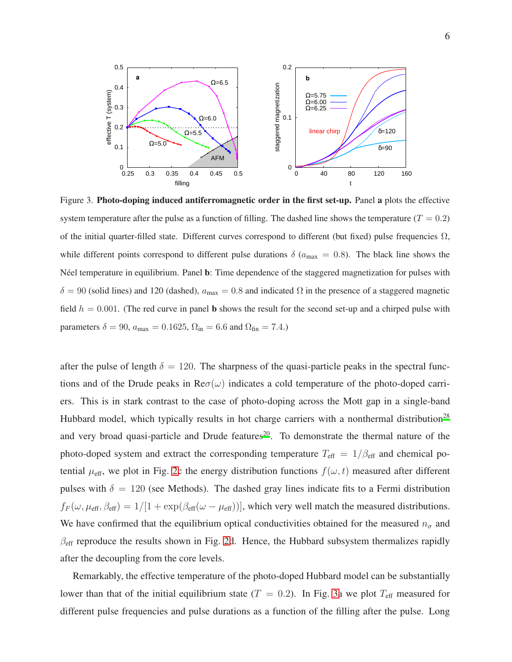

<span id="page-5-0"></span>Figure 3. Photo-doping induced antiferromagnetic order in the first set-up. Panel a plots the effective system temperature after the pulse as a function of filling. The dashed line shows the temperature ( $T = 0.2$ ) of the initial quarter-filled state. Different curves correspond to different (but fixed) pulse frequencies  $\Omega$ , while different points correspond to different pulse durations  $\delta$  ( $a_{\text{max}} = 0.8$ ). The black line shows the N'eel temperature in equilibrium. Panel b: Time dependence of the staggered magnetization for pulses with  $\delta = 90$  (solid lines) and 120 (dashed),  $a_{\text{max}} = 0.8$  and indicated  $\Omega$  in the presence of a staggered magnetic field  $h = 0.001$ . (The red curve in panel b shows the result for the second set-up and a chirped pulse with parameters  $\delta = 90$ ,  $a_{\text{max}} = 0.1625$ ,  $\Omega_{\text{in}} = 6.6$  and  $\Omega_{\text{fin}} = 7.4$ .

after the pulse of length  $\delta = 120$ . The sharpness of the quasi-particle peaks in the spectral functions and of the Drude peaks in  $\text{Re}\sigma(\omega)$  indicates a cold temperature of the photo-doped carriers. This is in stark contrast to the case of photo-doping across the Mott gap in a single-band Hubbard model, which typically results in hot charge carriers with a nonthermal distribution<sup>[28](#page-14-0)</sup> and very broad quasi-particle and Drude features<sup>[20](#page-13-8)</sup>. To demonstrate the thermal nature of the photo-doped system and extract the corresponding temperature  $T_{\text{eff}} = 1/\beta_{\text{eff}}$  and chemical potential  $\mu_{\text{eff}}$ , we plot in Fig. [2c](#page-4-0) the energy distribution functions  $f(\omega, t)$  measured after different pulses with  $\delta = 120$  (see Methods). The dashed gray lines indicate fits to a Fermi distribution  $f_F(\omega, \mu_{\rm eff}, \beta_{\rm eff}) = 1/[1 + \exp(\beta_{\rm eff}(\omega - \mu_{\rm eff}))]$ , which very well match the measured distributions. We have confirmed that the equilibrium optical conductivities obtained for the measured  $n_{\sigma}$  and  $\beta_{\text{eff}}$  reproduce the results shown in Fig. [2d](#page-4-0). Hence, the Hubbard subsystem thermalizes rapidly after the decoupling from the core levels.

Remarkably, the effective temperature of the photo-doped Hubbard model can be substantially lower than that of the initial equilibrium state ( $T = 0.2$ ). In Fig. [3a](#page-5-0) we plot  $T_{\text{eff}}$  measured for different pulse frequencies and pulse durations as a function of the filling after the pulse. Long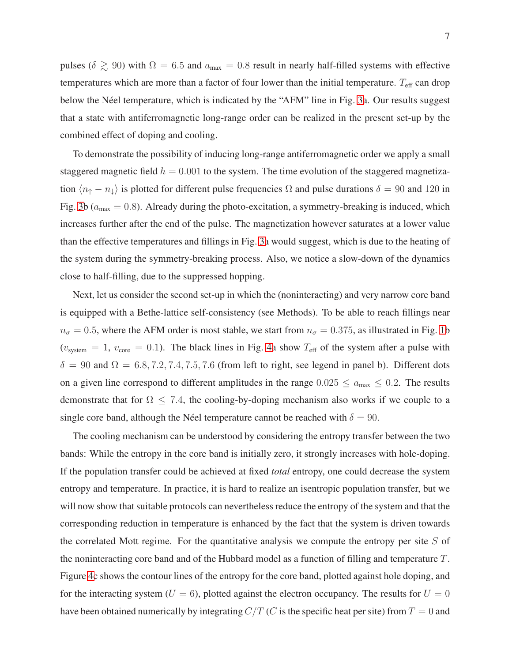pulses ( $\delta \gtrsim 90$ ) with  $\Omega = 6.5$  and  $a_{\text{max}} = 0.8$  result in nearly half-filled systems with effective temperatures which are more than a factor of four lower than the initial temperature.  $T_{\text{eff}}$  can drop below the Néel temperature, which is indicated by the "AFM" line in Fig. [3a](#page-5-0). Our results suggest that a state with antiferromagnetic long-range order can be realized in the present set-up by the combined effect of doping and cooling.

To demonstrate the possibility of inducing long-range antiferromagnetic order we apply a small staggered magnetic field  $h = 0.001$  to the system. The time evolution of the staggered magnetization  $\langle n_{\uparrow} - n_{\downarrow} \rangle$  is plotted for different pulse frequencies  $\Omega$  and pulse durations  $\delta = 90$  and 120 in Fig. [3b](#page-5-0) ( $a_{\text{max}} = 0.8$ ). Already during the photo-excitation, a symmetry-breaking is induced, which increases further after the end of the pulse. The magnetization however saturates at a lower value than the effective temperatures and fillings in Fig. [3a](#page-5-0) would suggest, which is due to the heating of the system during the symmetry-breaking process. Also, we notice a slow-down of the dynamics close to half-filling, due to the suppressed hopping.

Next, let us consider the second set-up in which the (noninteracting) and very narrow core band is equipped with a Bethe-lattice self-consistency (see Methods). To be able to reach fillings near  $n_{\sigma} = 0.5$ , where the AFM order is most stable, we start from  $n_{\sigma} = 0.375$ , as illustrated in Fig. [1b](#page-3-0)  $(v_{\text{system}} = 1, v_{\text{core}} = 0.1)$ . The black lines in Fig. [4a](#page-7-0) show  $T_{\text{eff}}$  of the system after a pulse with  $\delta = 90$  and  $\Omega = 6.8, 7.2, 7.4, 7.5, 7.6$  (from left to right, see legend in panel b). Different dots on a given line correspond to different amplitudes in the range  $0.025 \le a_{\text{max}} \le 0.2$ . The results demonstrate that for  $\Omega$  < 7.4, the cooling-by-doping mechanism also works if we couple to a single core band, although the Néel temperature cannot be reached with  $\delta = 90$ .

The cooling mechanism can be understood by considering the entropy transfer between the two bands: While the entropy in the core band is initially zero, it strongly increases with hole-doping. If the population transfer could be achieved at fixed *total* entropy, one could decrease the system entropy and temperature. In practice, it is hard to realize an isentropic population transfer, but we will now show that suitable protocols can nevertheless reduce the entropy of the system and that the corresponding reduction in temperature is enhanced by the fact that the system is driven towards the correlated Mott regime. For the quantitative analysis we compute the entropy per site  $S$  of the noninteracting core band and of the Hubbard model as a function of filling and temperature T. Figure [4c](#page-7-0) shows the contour lines of the entropy for the core band, plotted against hole doping, and for the interacting system ( $U = 6$ ), plotted against the electron occupancy. The results for  $U = 0$ have been obtained numerically by integrating  $C/T$  (C is the specific heat per site) from  $T = 0$  and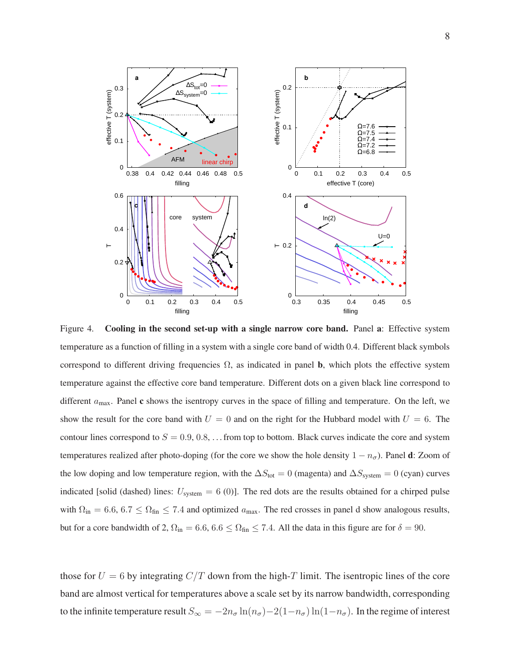

<span id="page-7-0"></span>Figure 4. Cooling in the second set-up with a single narrow core band. Panel a: Effective system temperature as a function of filling in a system with a single core band of width 0.4. Different black symbols correspond to different driving frequencies  $\Omega$ , as indicated in panel **b**, which plots the effective system temperature against the effective core band temperature. Different dots on a given black line correspond to different  $a_{\text{max}}$ . Panel c shows the isentropy curves in the space of filling and temperature. On the left, we show the result for the core band with  $U = 0$  and on the right for the Hubbard model with  $U = 6$ . The contour lines correspond to  $S = 0.9, 0.8, \ldots$  from top to bottom. Black curves indicate the core and system temperatures realized after photo-doping (for the core we show the hole density  $1 - n_{\sigma}$ ). Panel **d**: Zoom of the low doping and low temperature region, with the  $\Delta S_{\text{tot}} = 0$  (magenta) and  $\Delta S_{\text{system}} = 0$  (cyan) curves indicated [solid (dashed) lines:  $U_{\text{system}} = 6$  (0)]. The red dots are the results obtained for a chirped pulse with  $\Omega_{\rm in} = 6.6, 6.7 \le \Omega_{\rm fin} \le 7.4$  and optimized  $a_{\rm max}$ . The red crosses in panel d show analogous results, but for a core bandwidth of 2,  $\Omega_{\text{in}} = 6.6, 6.6 \leq \Omega_{\text{fin}} \leq 7.4$ . All the data in this figure are for  $\delta = 90$ .

those for  $U = 6$  by integrating  $C/T$  down from the high-T limit. The isentropic lines of the core band are almost vertical for temperatures above a scale set by its narrow bandwidth, corresponding to the infinite temperature result  $S_{\infty} = -2n_{\sigma} \ln(n_{\sigma}) - 2(1-n_{\sigma}) \ln(1-n_{\sigma})$ . In the regime of interest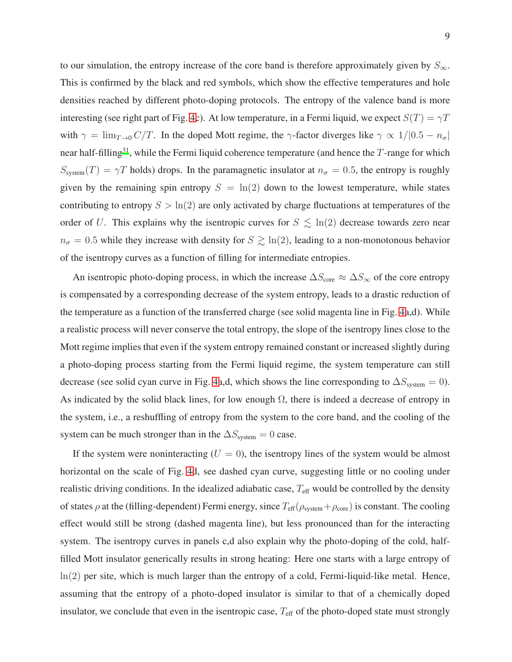to our simulation, the entropy increase of the core band is therefore approximately given by  $S_{\infty}$ . This is confirmed by the black and red symbols, which show the effective temperatures and hole densities reached by different photo-doping protocols. The entropy of the valence band is more interesting (see right part of Fig. [4c](#page-7-0)). At low temperature, in a Fermi liquid, we expect  $S(T) = \gamma T$ with  $\gamma = \lim_{T\to 0} C/T$ . In the doped Mott regime, the  $\gamma$ -factor diverges like  $\gamma \propto 1/[0.5 - n_{\sigma}]$ near half-filling<sup>[31](#page-14-2)</sup>, while the Fermi liquid coherence temperature (and hence the  $T$ -range for which  $S_{\text{system}}(T) = \gamma T$  holds) drops. In the paramagnetic insulator at  $n_{\sigma} = 0.5$ , the entropy is roughly given by the remaining spin entropy  $S = \ln(2)$  down to the lowest temperature, while states contributing to entropy  $S > \ln(2)$  are only activated by charge fluctuations at temperatures of the order of U. This explains why the isentropic curves for  $S \lesssim \ln(2)$  decrease towards zero near  $n_{\sigma} = 0.5$  while they increase with density for  $S \gtrsim \ln(2)$ , leading to a non-monotonous behavior of the isentropy curves as a function of filling for intermediate entropies.

An isentropic photo-doping process, in which the increase  $\Delta S_{\text{core}} \approx \Delta S_{\infty}$  of the core entropy is compensated by a corresponding decrease of the system entropy, leads to a drastic reduction of the temperature as a function of the transferred charge (see solid magenta line in Fig. [4a](#page-7-0),d). While a realistic process will never conserve the total entropy, the slope of the isentropy lines close to the Mott regime implies that even if the system entropy remained constant or increased slightly during a photo-doping process starting from the Fermi liquid regime, the system temperature can still decrease (see solid cyan curve in Fig. [4a](#page-7-0),d, which shows the line corresponding to  $\Delta S_{\text{system}} = 0$ ). As indicated by the solid black lines, for low enough  $\Omega$ , there is indeed a decrease of entropy in the system, i.e., a reshuffling of entropy from the system to the core band, and the cooling of the system can be much stronger than in the  $\Delta S_{\text{system}} = 0$  case.

If the system were noninteracting  $(U = 0)$ , the isentropy lines of the system would be almost horizontal on the scale of Fig. [4d](#page-7-0), see dashed cyan curve, suggesting little or no cooling under realistic driving conditions. In the idealized adiabatic case,  $T_{\text{eff}}$  would be controlled by the density of states  $\rho$  at the (filling-dependent) Fermi energy, since  $T_{\text{eff}}(\rho_{\text{system}} + \rho_{\text{core}})$  is constant. The cooling effect would still be strong (dashed magenta line), but less pronounced than for the interacting system. The isentropy curves in panels c,d also explain why the photo-doping of the cold, halffilled Mott insulator generically results in strong heating: Here one starts with a large entropy of  $ln(2)$  per site, which is much larger than the entropy of a cold, Fermi-liquid-like metal. Hence, assuming that the entropy of a photo-doped insulator is similar to that of a chemically doped insulator, we conclude that even in the isentropic case,  $T_{\text{eff}}$  of the photo-doped state must strongly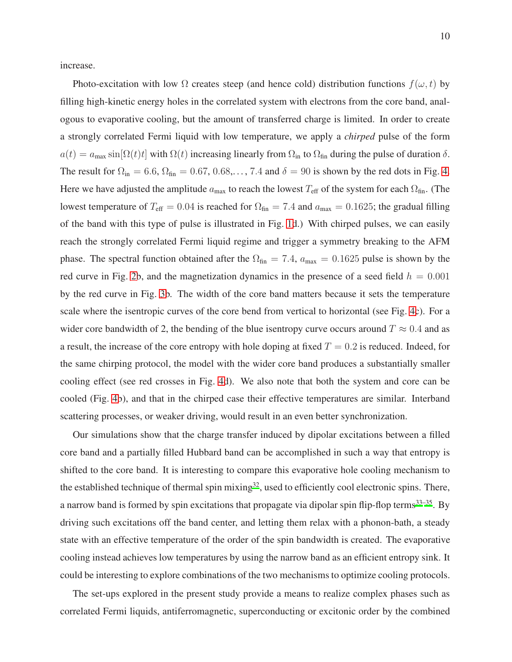increase.

Photo-excitation with low  $\Omega$  creates steep (and hence cold) distribution functions  $f(\omega, t)$  by filling high-kinetic energy holes in the correlated system with electrons from the core band, analogous to evaporative cooling, but the amount of transferred charge is limited. In order to create a strongly correlated Fermi liquid with low temperature, we apply a *chirped* pulse of the form  $a(t) = a_{\text{max}} \sin[\Omega(t)t]$  with  $\Omega(t)$  increasing linearly from  $\Omega_{\text{in}}$  to  $\Omega_{\text{fin}}$  during the pulse of duration  $\delta$ . The result for  $\Omega_{\rm in} = 6.6$ ,  $\Omega_{\rm fin} = 0.67, 0.68,...$ , 7.4 and  $\delta = 90$  is shown by the red dots in Fig. [4.](#page-7-0) Here we have adjusted the amplitude  $a_{\text{max}}$  to reach the lowest  $T_{\text{eff}}$  of the system for each  $\Omega_{\text{fin}}$ . (The lowest temperature of  $T_{\text{eff}} = 0.04$  is reached for  $\Omega_{\text{fin}} = 7.4$  and  $a_{\text{max}} = 0.1625$ ; the gradual filling of the band with this type of pulse is illustrated in Fig. [1d](#page-3-0).) With chirped pulses, we can easily reach the strongly correlated Fermi liquid regime and trigger a symmetry breaking to the AFM phase. The spectral function obtained after the  $\Omega_{fin} = 7.4$ ,  $a_{max} = 0.1625$  pulse is shown by the red curve in Fig. [2b](#page-4-0), and the magnetization dynamics in the presence of a seed field  $h = 0.001$ by the red curve in Fig. [3b](#page-5-0). The width of the core band matters because it sets the temperature scale where the isentropic curves of the core bend from vertical to horizontal (see Fig. [4c](#page-7-0)). For a wider core bandwidth of 2, the bending of the blue isentropy curve occurs around  $T \approx 0.4$  and as a result, the increase of the core entropy with hole doping at fixed  $T = 0.2$  is reduced. Indeed, for the same chirping protocol, the model with the wider core band produces a substantially smaller cooling effect (see red crosses in Fig. [4d](#page-7-0)). We also note that both the system and core can be cooled (Fig. [4b](#page-7-0)), and that in the chirped case their effective temperatures are similar. Interband scattering processes, or weaker driving, would result in an even better synchronization.

Our simulations show that the charge transfer induced by dipolar excitations between a filled core band and a partially filled Hubbard band can be accomplished in such a way that entropy is shifted to the core band. It is interesting to compare this evaporative hole cooling mechanism to the established technique of thermal spin mixing<sup>[32](#page-14-3)</sup>, used to efficiently cool electronic spins. There, a narrow band is formed by spin excitations that propagate via dipolar spin flip-flop terms<sup>[33](#page-14-4)[–35](#page-14-5)</sup>. By driving such excitations off the band center, and letting them relax with a phonon-bath, a steady state with an effective temperature of the order of the spin bandwidth is created. The evaporative cooling instead achieves low temperatures by using the narrow band as an efficient entropy sink. It could be interesting to explore combinations of the two mechanisms to optimize cooling protocols.

The set-ups explored in the present study provide a means to realize complex phases such as correlated Fermi liquids, antiferromagnetic, superconducting or excitonic order by the combined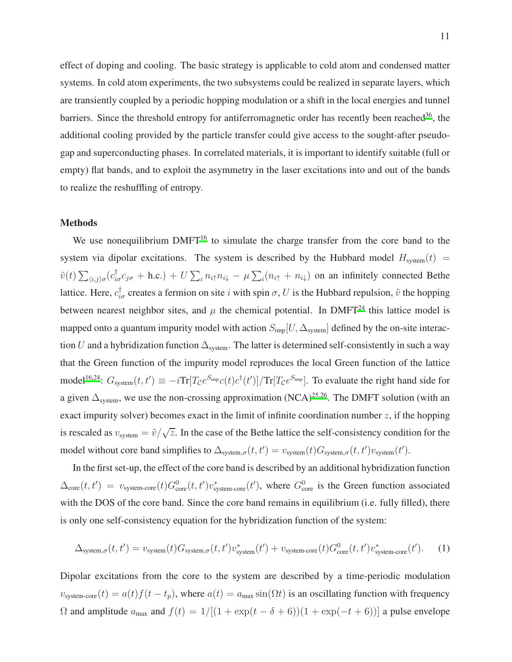effect of doping and cooling. The basic strategy is applicable to cold atom and condensed matter systems. In cold atom experiments, the two subsystems could be realized in separate layers, which are transiently coupled by a periodic hopping modulation or a shift in the local energies and tunnel barriers. Since the threshold entropy for antiferromagnetic order has recently been reached<sup>[36](#page-14-6)</sup>, the additional cooling provided by the particle transfer could give access to the sought-after pseudogap and superconducting phases. In correlated materials, it is important to identify suitable (full or empty) flat bands, and to exploit the asymmetry in the laser excitations into and out of the bands to realize the reshuffling of entropy.

## Methods

We use nonequilibrium DMFT<sup>[16](#page-13-5)</sup> to simulate the charge transfer from the core band to the system via dipolar excitations. The system is described by the Hubbard model  $H_{\text{system}}(t)$  =  $\tilde{v}(t) \sum_{\langle i,j \rangle \sigma} (c_{i\sigma}^{\dagger} c_{j\sigma} + \text{h.c.}) + U \sum_{i} n_{i\uparrow} n_{i\downarrow} - \mu \sum_{i} (n_{i\uparrow} + n_{i\downarrow})$  on an infinitely connected Bethe lattice. Here,  $c_{i\sigma}^{\dagger}$  creates a fermion on site i with spin  $\sigma$ , U is the Hubbard repulsion,  $\tilde{v}$  the hopping between nearest neighbor sites, and  $\mu$  the chemical potential. In DMFT<sup>[24](#page-13-13)</sup> this lattice model is mapped onto a quantum impurity model with action  $S_{\text{imp}}[U, \Delta_{\text{system}}]$  defined by the on-site interaction U and a hybridization function  $\Delta_{\text{system}}$ . The latter is determined self-consistently in such a way that the Green function of the impurity model reproduces the local Green function of the lattice model<sup>[16](#page-13-5)[,24](#page-13-13)</sup>:  $G_{\text{system}}(t, t') \equiv -i \text{Tr} [T_C e^{S_{\text{imp}}} c(t) c^{\dagger}(t')] / \text{Tr} [T_C e^{S_{\text{imp}}}].$  To evaluate the right hand side for a given  $\Delta_{\text{system}}$ , we use the non-crossing approximation (NCA)<sup>[25](#page-14-7)[,26](#page-14-8)</sup>. The DMFT solution (with an exact impurity solver) becomes exact in the limit of infinite coordination number  $z$ , if the hopping is rescaled as  $v_{\text{system}} = \tilde{v}/\sqrt{z}$ . In the case of the Bethe lattice the self-consistency condition for the model without core band simplifies to  $\Delta_{\text{system},\sigma}(t,t') = v_{\text{system}}(t)G_{\text{system},\sigma}(t,t')v_{\text{system}}(t').$ 

In the first set-up, the effect of the core band is described by an additional hybridization function  $\Delta_{\text{core}}(t, t') = v_{\text{system-core}}(t) G_{\text{core}}^{0}(t, t') v_{\text{system-core}}^{*}(t')$ , where  $G_{\text{core}}^{0}$  is the Green function associated with the DOS of the core band. Since the core band remains in equilibrium (i.e. fully filled), there is only one self-consistency equation for the hybridization function of the system:

$$
\Delta_{\text{system},\sigma}(t,t') = v_{\text{system}}(t)G_{\text{system},\sigma}(t,t')v_{\text{system}}^*(t') + v_{\text{system-core}}(t)G_{\text{core}}^0(t,t')v_{\text{system-core}}^*(t'). \tag{1}
$$

Dipolar excitations from the core to the system are described by a time-periodic modulation  $v_{\text{system-core}}(t) = a(t)f(t - t_p)$ , where  $a(t) = a_{\text{max}}\sin(\Omega t)$  is an oscillating function with frequency  $\Omega$  and amplitude  $a_{\text{max}}$  and  $f(t) = 1/[(1 + \exp(t - \delta + 6))(1 + \exp(-t + 6))]$  a pulse envelope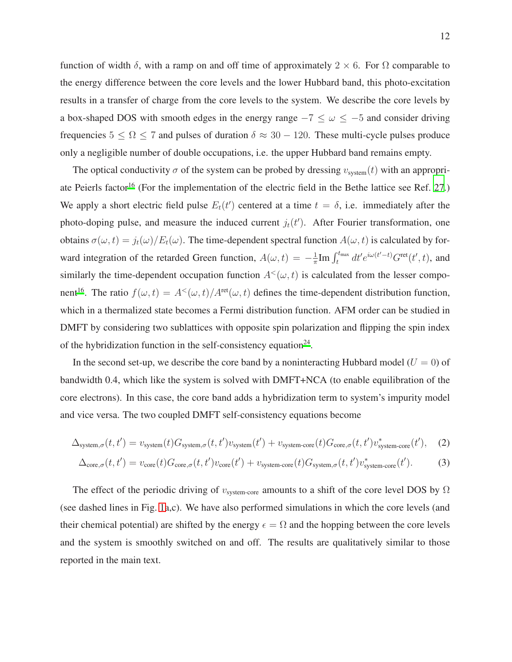function of width  $\delta$ , with a ramp on and off time of approximately 2  $\times$  6. For  $\Omega$  comparable to the energy difference between the core levels and the lower Hubbard band, this photo-excitation results in a transfer of charge from the core levels to the system. We describe the core levels by a box-shaped DOS with smooth edges in the energy range  $-7 \leq \omega \leq -5$  and consider driving frequencies  $5 \le \Omega \le 7$  and pulses of duration  $\delta \approx 30 - 120$ . These multi-cycle pulses produce only a negligible number of double occupations, i.e. the upper Hubbard band remains empty.

The optical conductivity  $\sigma$  of the system can be probed by dressing  $v_{\text{system}}(t)$  with an appropri-ate Peierls factor<sup>[16](#page-13-5)</sup> (For the implementation of the electric field in the Bethe lattice see Ref. [27](#page-14-9).) We apply a short electric field pulse  $E_t(t')$  centered at a time  $t = \delta$ , i.e. immediately after the photo-doping pulse, and measure the induced current  $j_t(t')$ . After Fourier transformation, one obtains  $\sigma(\omega, t) = j_t(\omega)/E_t(\omega)$ . The time-dependent spectral function  $A(\omega, t)$  is calculated by forward integration of the retarded Green function,  $A(\omega, t) = -\frac{1}{\pi}$  $\frac{1}{\pi}$ Im  $\int_{t}^{t_{\text{max}}} dt' e^{i\omega(t'-t)} G^{\text{ret}}(t', t)$ , and similarly the time-dependent occupation function  $A<sup>{</sup>(\omega, t)}$  is calculated from the lesser compo-nent<sup>[16](#page-13-5)</sup>. The ratio  $f(\omega, t) = A^{\lt}(\omega, t) / A^{\text{ret}}(\omega, t)$  defines the time-dependent distribution function, which in a thermalized state becomes a Fermi distribution function. AFM order can be studied in DMFT by considering two sublattices with opposite spin polarization and flipping the spin index of the hybridization function in the self-consistency equation $24$ .

In the second set-up, we describe the core band by a noninteracting Hubbard model ( $U = 0$ ) of bandwidth 0.4, which like the system is solved with DMFT+NCA (to enable equilibration of the core electrons). In this case, the core band adds a hybridization term to system's impurity model and vice versa. The two coupled DMFT self-consistency equations become

$$
\Delta_{\text{system},\sigma}(t,t') = v_{\text{system}}(t)G_{\text{system},\sigma}(t,t')v_{\text{system}}(t') + v_{\text{system-core}}(t)G_{\text{core},\sigma}(t,t')v_{\text{system-core}}^*(t'),\tag{2}
$$

$$
\Delta_{\text{core},\sigma}(t,t') = v_{\text{core}}(t)G_{\text{core},\sigma}(t,t')v_{\text{core}}(t') + v_{\text{system-core}}(t)G_{\text{system},\sigma}(t,t')v_{\text{system-core}}^*(t').\tag{3}
$$

The effect of the periodic driving of  $v_{\text{system-core}}$  amounts to a shift of the core level DOS by  $\Omega$ (see dashed lines in Fig. [1a](#page-3-0),c). We have also performed simulations in which the core levels (and their chemical potential) are shifted by the energy  $\epsilon = \Omega$  and the hopping between the core levels and the system is smoothly switched on and off. The results are qualitatively similar to those reported in the main text.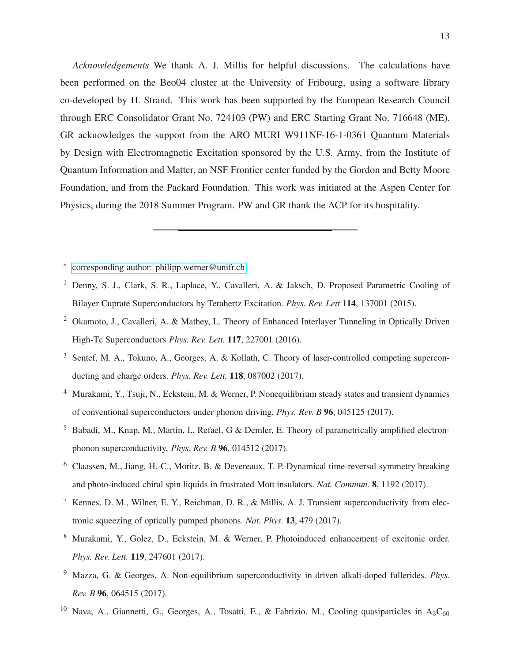*Acknowledgements* We thank A. J. Millis for helpful discussions. The calculations have been performed on the Beo04 cluster at the University of Fribourg, using a software library co-developed by H. Strand. This work has been supported by the European Research Council through ERC Consolidator Grant No. 724103 (PW) and ERC Starting Grant No. 716648 (ME). GR acknowledges the support from the ARO MURI W911NF-16-1-0361 Quantum Materials by Design with Electromagnetic Excitation sponsored by the U.S. Army, from the Institute of Quantum Information and Matter, an NSF Frontier center funded by the Gordon and Betty Moore Foundation, and from the Packard Foundation. This work was initiated at the Aspen Center for Physics, during the 2018 Summer Program. PW and GR thank the ACP for its hospitality.

- <span id="page-12-0"></span>∗ [corresponding author: philipp.werner@unifr.ch](mailto:corresponding author: philipp.werner@unifr.ch)
- <span id="page-12-1"></span><sup>1</sup> Denny, S. J., Clark, S. R., Laplace, Y., Cavalleri, A. & Jaksch, D. Proposed Parametric Cooling of Bilayer Cuprate Superconductors by Terahertz Excitation. *Phys. Rev. Lett* 114, 137001 (2015).
- <sup>2</sup> Okamoto, J., Cavalleri, A. & Mathey, L. Theory of Enhanced Interlayer Tunneling in Optically Driven High-Tc Superconductors *Phys. Rev. Lett.* 117, 227001 (2016).
- <sup>3</sup> Sentef, M. A., Tokuno, A., Georges, A. & Kollath, C. Theory of laser-controlled competing superconducting and charge orders. *Phys. Rev. Lett.* 118, 087002 (2017).
- <span id="page-12-3"></span><sup>4</sup> Murakami, Y., Tsuji, N., Eckstein, M. & Werner, P. Nonequilibrium steady states and transient dynamics of conventional superconductors under phonon driving. *Phys. Rev. B* 96, 045125 (2017).
- <sup>5</sup> Babadi, M., Knap, M., Martin, I., Refael, G & Demler, E. Theory of parametrically amplified electronphonon superconductivity, *Phys. Rev. B* 96, 014512 (2017).
- <sup>6</sup> Claassen, M., Jiang, H.-C., Moritz, B. & Devereaux, T. P. Dynamical time-reversal symmetry breaking and photo-induced chiral spin liquids in frustrated Mott insulators. *Nat. Commun.* 8, 1192 (2017).
- <sup>7</sup> Kennes, D. M., Wilner, E. Y., Reichman, D. R., & Millis, A. J. Transient superconductivity from electronic squeezing of optically pumped phonons. *Nat. Phys.* 13, 479 (2017).
- <sup>8</sup> Murakami, Y., Golez, D., Eckstein, M. & Werner, P. Photoinduced enhancement of excitonic order. *Phys. Rev. Lett.* 119, 247601 (2017).
- <sup>9</sup> Mazza, G. & Georges, A. Non-equilibrium superconductivity in driven alkali-doped fullerides. *Phys. Rev. B* 96, 064515 (2017).
- <span id="page-12-2"></span><sup>10</sup> Nava, A., Giannetti, G., Georges, A., Tosatti, E., & Fabrizio, M., Cooling quasiparticles in A<sub>3</sub>C<sub>60</sub>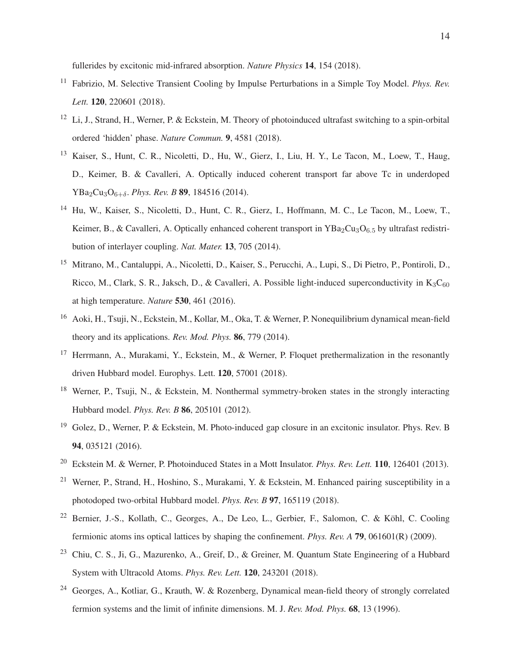fullerides by excitonic mid-infrared absorption. *Nature Physics* 14, 154 (2018).

- <span id="page-13-10"></span><sup>11</sup> Fabrizio, M. Selective Transient Cooling by Impulse Perturbations in a Simple Toy Model. *Phys. Rev. Lett.* 120, 220601 (2018).
- <span id="page-13-0"></span><sup>12</sup> Li, J., Strand, H., Werner, P. & Eckstein, M. Theory of photoinduced ultrafast switching to a spin-orbital ordered 'hidden' phase. *Nature Commun.* 9, 4581 (2018).
- <span id="page-13-1"></span><sup>13</sup> Kaiser, S., Hunt, C. R., Nicoletti, D., Hu, W., Gierz, I., Liu, H. Y., Le Tacon, M., Loew, T., Haug, D., Keimer, B. & Cavalleri, A. Optically induced coherent transport far above Tc in underdoped YBa2Cu3O6+δ. *Phys. Rev. B* 89, 184516 (2014).
- <span id="page-13-2"></span><sup>14</sup> Hu, W., Kaiser, S., Nicoletti, D., Hunt, C. R., Gierz, I., Hoffmann, M. C., Le Tacon, M., Loew, T., Keimer, B., & Cavalleri, A. Optically enhanced coherent transport in  $YBa<sub>2</sub>Cu<sub>3</sub>O<sub>6.5</sub>$  by ultrafast redistribution of interlayer coupling. *Nat. Mater.* 13, 705 (2014).
- <span id="page-13-3"></span><sup>15</sup> Mitrano, M., Cantaluppi, A., Nicoletti, D., Kaiser, S., Perucchi, A., Lupi, S., Di Pietro, P., Pontiroli, D., Ricco, M., Clark, S. R., Jaksch, D., & Cavalleri, A. Possible light-induced superconductivity in  $K_3C_{60}$ at high temperature. *Nature* 530, 461 (2016).
- <span id="page-13-5"></span><sup>16</sup> Aoki, H., Tsuji, N., Eckstein, M., Kollar, M., Oka, T. & Werner, P. Nonequilibrium dynamical mean-field theory and its applications. *Rev. Mod. Phys.* 86, 779 (2014).
- <span id="page-13-4"></span><sup>17</sup> Herrmann, A., Murakami, Y., Eckstein, M., & Werner, P. Floquet prethermalization in the resonantly driven Hubbard model. Europhys. Lett. 120, 57001 (2018).
- <span id="page-13-6"></span><sup>18</sup> Werner, P., Tsuji, N., & Eckstein, M. Nonthermal symmetry-broken states in the strongly interacting Hubbard model. *Phys. Rev. B* 86, 205101 (2012).
- <span id="page-13-7"></span><sup>19</sup> Golez, D., Werner, P. & Eckstein, M. Photo-induced gap closure in an excitonic insulator. Phys. Rev. B 94, 035121 (2016).
- <span id="page-13-8"></span><sup>20</sup> Eckstein M. & Werner, P. Photoinduced States in a Mott Insulator. *Phys. Rev. Lett.* 110, 126401 (2013).
- <span id="page-13-9"></span><sup>21</sup> Werner, P., Strand, H., Hoshino, S., Murakami, Y. & Eckstein, M. Enhanced pairing susceptibility in a photodoped two-orbital Hubbard model. *Phys. Rev. B* 97, 165119 (2018).
- <span id="page-13-11"></span><sup>22</sup> Bernier, J.-S., Kollath, C., Georges, A., De Leo, L., Gerbier, F., Salomon, C. & Köhl, C. Cooling fermionic atoms ins optical lattices by shaping the confinement. *Phys. Rev. A* 79, 061601(R) (2009).
- <span id="page-13-12"></span><sup>23</sup> Chiu, C. S., Ji, G., Mazurenko, A., Greif, D., & Greiner, M. Quantum State Engineering of a Hubbard System with Ultracold Atoms. *Phys. Rev. Lett.* 120, 243201 (2018).
- <span id="page-13-13"></span><sup>24</sup> Georges, A., Kotliar, G., Krauth, W. & Rozenberg, Dynamical mean-field theory of strongly correlated fermion systems and the limit of infinite dimensions. M. J. *Rev. Mod. Phys.* 68, 13 (1996).